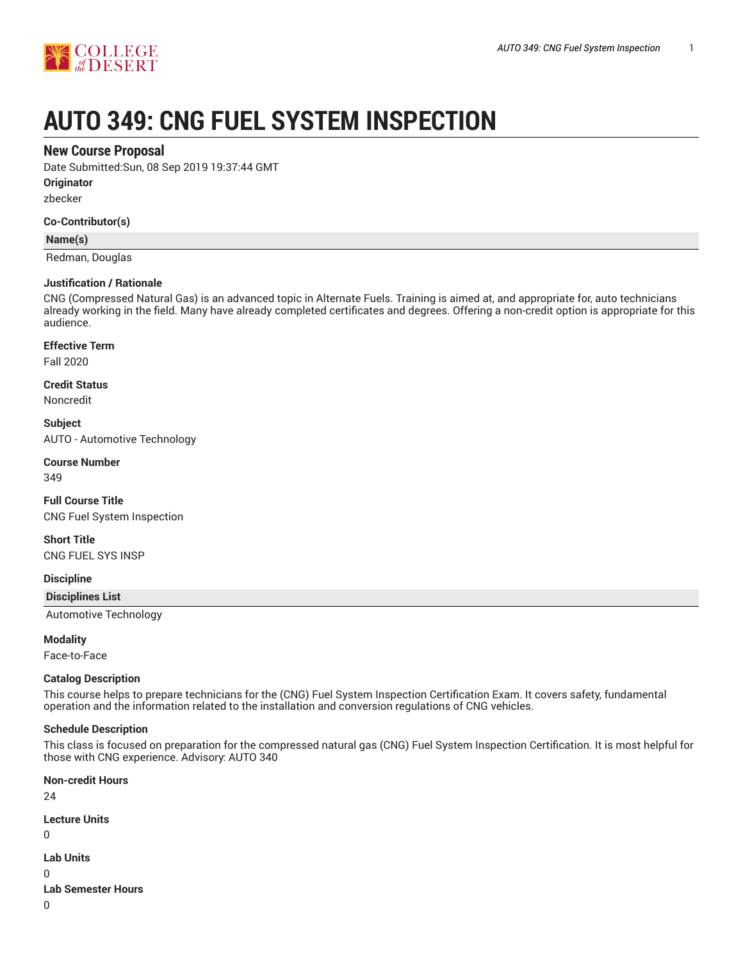

# **AUTO 349: CNG FUEL SYSTEM INSPECTION**

## **New Course Proposal**

Date Submitted:Sun, 08 Sep 2019 19:37:44 GMT

**Originator**

zbecker

#### **Co-Contributor(s)**

## **Name(s)**

Redman, Douglas

#### **Justification / Rationale**

CNG (Compressed Natural Gas) is an advanced topic in Alternate Fuels. Training is aimed at, and appropriate for, auto technicians already working in the field. Many have already completed certificates and degrees. Offering a non-credit option is appropriate for this audience.

## **Effective Term**

Fall 2020

#### **Credit Status**

Noncredit

**Subject** AUTO - Automotive Technology

## **Course Number**

349

## **Full Course Title** CNG Fuel System Inspection

## **Short Title**

CNG FUEL SYS INSP

#### **Discipline**

**Disciplines List**

Automotive Technology

#### **Modality**

Face-to-Face

#### **Catalog Description**

This course helps to prepare technicians for the (CNG) Fuel System Inspection Certification Exam. It covers safety, fundamental operation and the information related to the installation and conversion regulations of CNG vehicles.

#### **Schedule Description**

This class is focused on preparation for the compressed natural gas (CNG) Fuel System Inspection Certification. It is most helpful for those with CNG experience. Advisory: AUTO 340

**Non-credit Hours** 24 **Lecture Units** 0 **Lab Units** 0 **Lab Semester Hours**

0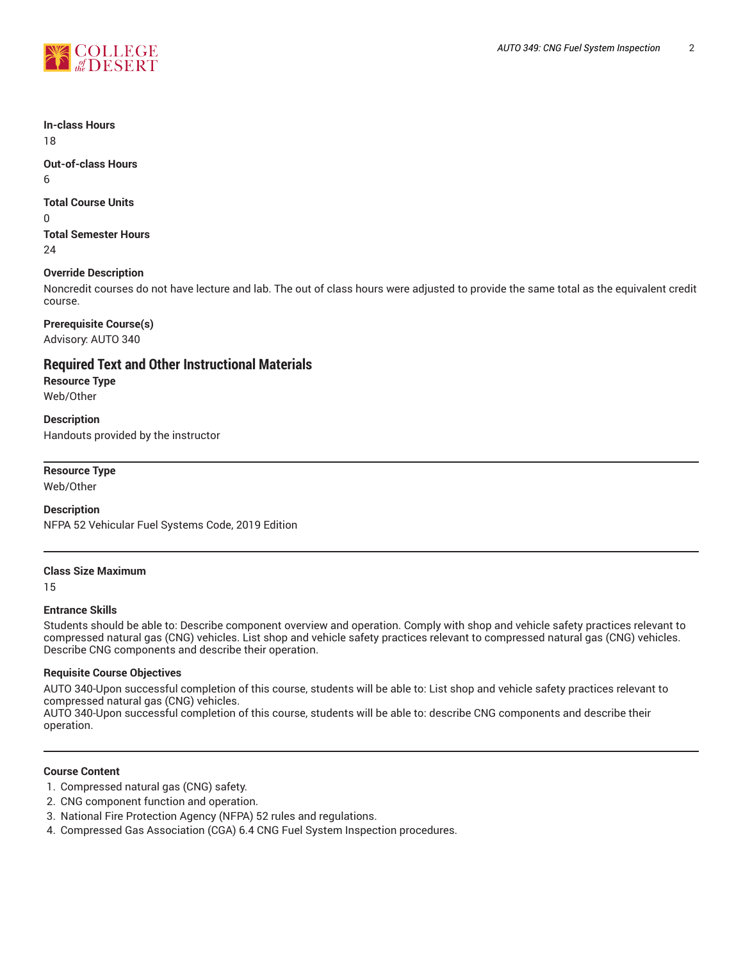

**In-class Hours** 18

**Out-of-class Hours** 6

## **Total Course Units**

 $\Omega$ 

**Total Semester Hours** 24

## **Override Description**

Noncredit courses do not have lecture and lab. The out of class hours were adjusted to provide the same total as the equivalent credit course.

**Prerequisite Course(s)** Advisory: AUTO 340

**Required Text and Other Instructional Materials Resource Type**

Web/Other

**Description** Handouts provided by the instructor

**Resource Type**

Web/Other

## **Description**

NFPA 52 Vehicular Fuel Systems Code, 2019 Edition

## **Class Size Maximum**

15

## **Entrance Skills**

Students should be able to: Describe component overview and operation. Comply with shop and vehicle safety practices relevant to compressed natural gas (CNG) vehicles. List shop and vehicle safety practices relevant to compressed natural gas (CNG) vehicles. Describe CNG components and describe their operation.

## **Requisite Course Objectives**

AUTO 340-Upon successful completion of this course, students will be able to: List shop and vehicle safety practices relevant to compressed natural gas (CNG) vehicles.

AUTO 340-Upon successful completion of this course, students will be able to: describe CNG components and describe their operation.

## **Course Content**

- 1. Compressed natural gas (CNG) safety.
- 2. CNG component function and operation.
- 3. National Fire Protection Agency (NFPA) 52 rules and regulations.
- 4. Compressed Gas Association (CGA) 6.4 CNG Fuel System Inspection procedures.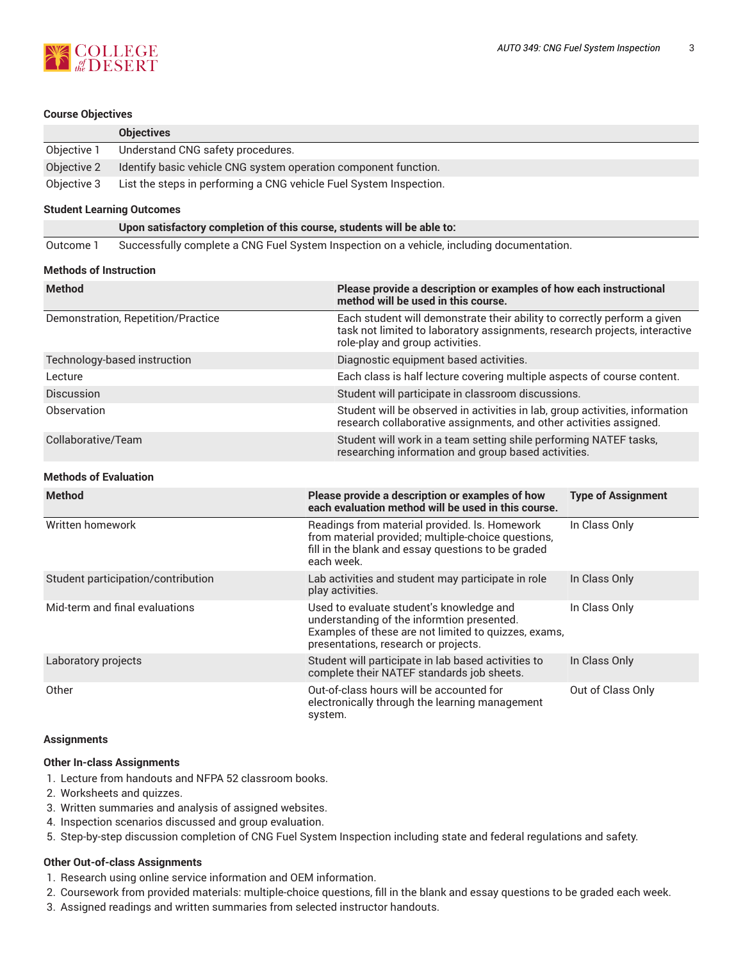

#### **Course Objectives**

|             | <b>Objectives</b>                                                  |
|-------------|--------------------------------------------------------------------|
| Objective 1 | Understand CNG safety procedures.                                  |
| Objective 2 | Identify basic vehicle CNG system operation component function.    |
| Objective 3 | List the steps in performing a CNG vehicle Fuel System Inspection. |

#### **Student Learning Outcomes**

**Upon satisfactory completion of this course, students will be able to:**

Outcome 1 Successfully complete a CNG Fuel System Inspection on a vehicle, including documentation.

#### **Methods of Instruction**

| <b>Method</b>                      | Please provide a description or examples of how each instructional<br>method will be used in this course.                                                                                 |
|------------------------------------|-------------------------------------------------------------------------------------------------------------------------------------------------------------------------------------------|
| Demonstration, Repetition/Practice | Each student will demonstrate their ability to correctly perform a given<br>task not limited to laboratory assignments, research projects, interactive<br>role-play and group activities. |
| Technology-based instruction       | Diagnostic equipment based activities.                                                                                                                                                    |
| Lecture                            | Each class is half lecture covering multiple aspects of course content.                                                                                                                   |
| <b>Discussion</b>                  | Student will participate in classroom discussions.                                                                                                                                        |
| Observation                        | Student will be observed in activities in lab, group activities, information<br>research collaborative assignments, and other activities assigned.                                        |
| Collaborative/Team                 | Student will work in a team setting shile performing NATEF tasks,<br>researching information and group based activities.                                                                  |

#### **Methods of Evaluation**

| <b>Method</b>                      | Please provide a description or examples of how<br>each evaluation method will be used in this course.                                                                                 | <b>Type of Assignment</b> |
|------------------------------------|----------------------------------------------------------------------------------------------------------------------------------------------------------------------------------------|---------------------------|
| Written homework                   | Readings from material provided. Is. Homework<br>from material provided; multiple-choice questions,<br>fill in the blank and essay questions to be graded<br>each week.                | In Class Only             |
| Student participation/contribution | Lab activities and student may participate in role<br>play activities.                                                                                                                 | In Class Only             |
| Mid-term and final evaluations     | Used to evaluate student's knowledge and<br>understanding of the informtion presented.<br>Examples of these are not limited to quizzes, exams,<br>presentations, research or projects. | In Class Only             |
| Laboratory projects                | Student will participate in lab based activities to<br>complete their NATEF standards job sheets.                                                                                      | In Class Only             |
| Other                              | Out-of-class hours will be accounted for<br>electronically through the learning management<br>system.                                                                                  | Out of Class Only         |

## **Assignments**

## **Other In-class Assignments**

- 1. Lecture from handouts and NFPA 52 classroom books.
- 2. Worksheets and quizzes.
- 3. Written summaries and analysis of assigned websites.
- 4. Inspection scenarios discussed and group evaluation.
- 5. Step-by-step discussion completion of CNG Fuel System Inspection including state and federal regulations and safety.

#### **Other Out-of-class Assignments**

- 1. Research using online service information and OEM information.
- 2. Coursework from provided materials: multiple-choice questions, fill in the blank and essay questions to be graded each week.
- 3. Assigned readings and written summaries from selected instructor handouts.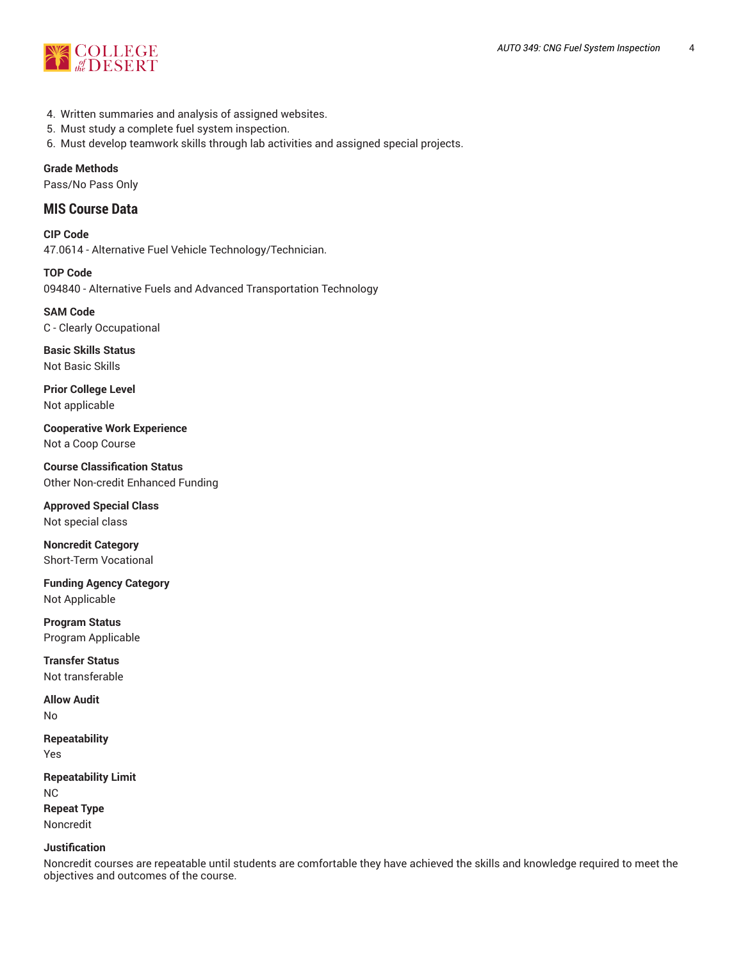

- 4. Written summaries and analysis of assigned websites.
- 5. Must study a complete fuel system inspection.
- 6. Must develop teamwork skills through lab activities and assigned special projects.

### **Grade Methods**

Pass/No Pass Only

## **MIS Course Data**

**CIP Code** 47.0614 - Alternative Fuel Vehicle Technology/Technician.

**TOP Code** 094840 - Alternative Fuels and Advanced Transportation Technology

## **SAM Code**

C - Clearly Occupational

**Basic Skills Status** Not Basic Skills

**Prior College Level** Not applicable

**Cooperative Work Experience** Not a Coop Course

**Course Classification Status** Other Non-credit Enhanced Funding

**Approved Special Class** Not special class

**Noncredit Category** Short-Term Vocational

**Funding Agency Category** Not Applicable

**Program Status** Program Applicable

**Transfer Status** Not transferable

**Allow Audit** No

**Repeatability** Yes

**Repeatability Limit** NC **Repeat Type** Noncredit

#### **Justification**

Noncredit courses are repeatable until students are comfortable they have achieved the skills and knowledge required to meet the objectives and outcomes of the course.